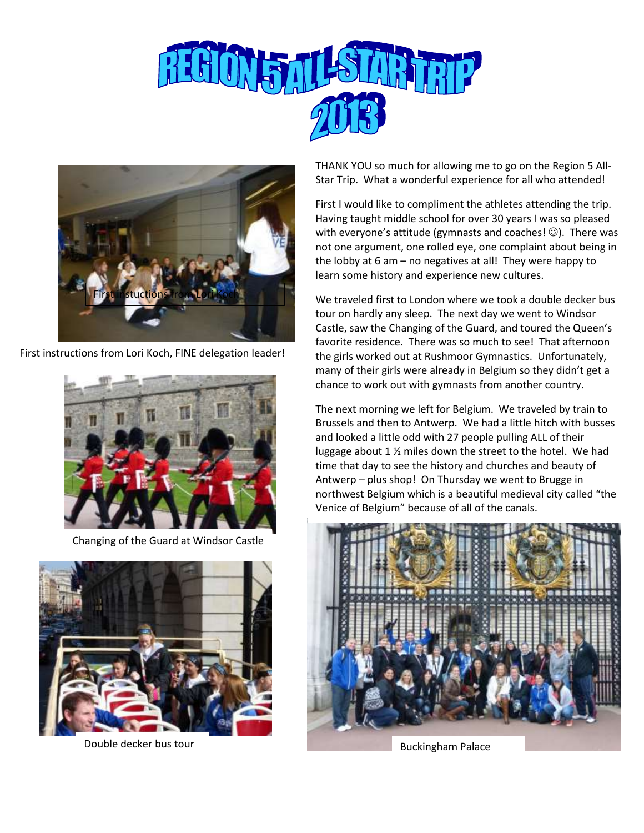



First instructions from Lori Koch, FINE delegation leader!



Changing of the Guard at Windsor Castle



Double decker bus tour and the state of the Buckingham Palace

THANK YOU so much for allowing me to go on the Region 5 All-Star Trip. What a wonderful experience for all who attended!

First I would like to compliment the athletes attending the trip. Having taught middle school for over 30 years I was so pleased with everyone's attitude (gymnasts and coaches!  $\circledcirc$ ). There was not one argument, one rolled eye, one complaint about being in the lobby at 6 am – no negatives at all! They were happy to learn some history and experience new cultures.

We traveled first to London where we took a double decker bus tour on hardly any sleep. The next day we went to Windsor Castle, saw the Changing of the Guard, and toured the Queen's favorite residence. There was so much to see! That afternoon the girls worked out at Rushmoor Gymnastics. Unfortunately, many of their girls were already in Belgium so they didn't get a chance to work out with gymnasts from another country.

The next morning we left for Belgium. We traveled by train to Brussels and then to Antwerp. We had a little hitch with busses and looked a little odd with 27 people pulling ALL of their luggage about 1 ½ miles down the street to the hotel. We had time that day to see the history and churches and beauty of Antwerp – plus shop! On Thursday we went to Brugge in northwest Belgium which is a beautiful medieval city called "the Venice of Belgium" because of all of the canals.

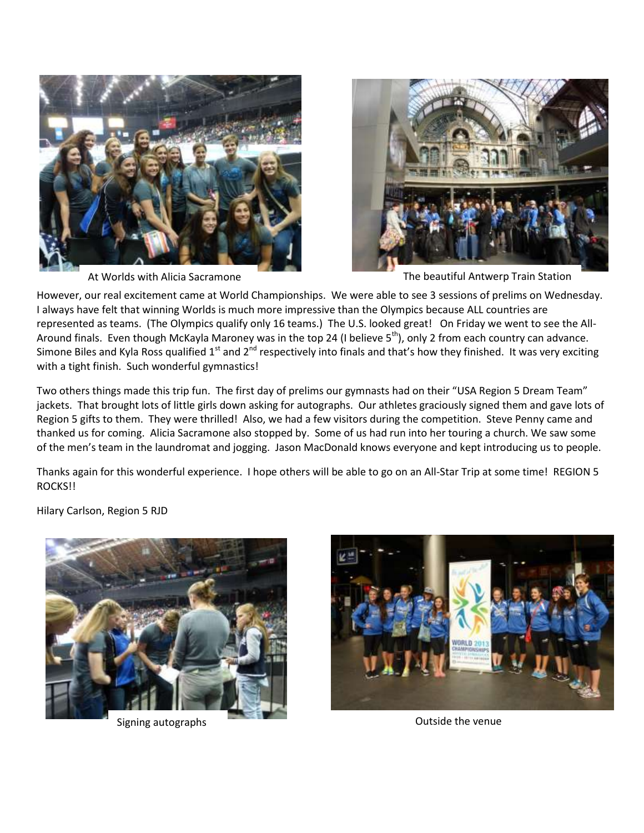



At Worlds with Alicia Sacramone The beautiful Antwerp Train Station

However, our real excitement came at World Championships. We were able to see 3 sessions of prelims on Wednesday. I always have felt that winning Worlds is much more impressive than the Olympics because ALL countries are represented as teams. (The Olympics qualify only 16 teams.) The U.S. looked great! On Friday we went to see the All-Around finals. Even though McKayla Maroney was in the top 24 (I believe  $5<sup>th</sup>$ ), only 2 from each country can advance. Simone Biles and Kyla Ross qualified  $1^{st}$  and  $2^{nd}$  respectively into finals and that's how they finished. It was very exciting with a tight finish. Such wonderful gymnastics!

Two others things made this trip fun. The first day of prelims our gymnasts had on their "USA Region 5 Dream Team" jackets. That brought lots of little girls down asking for autographs. Our athletes graciously signed them and gave lots of Region 5 gifts to them. They were thrilled! Also, we had a few visitors during the competition. Steve Penny came and thanked us for coming. Alicia Sacramone also stopped by. Some of us had run into her touring a church. We saw some of the men's team in the laundromat and jogging. Jason MacDonald knows everyone and kept introducing us to people.

Thanks again for this wonderful experience. I hope others will be able to go on an All-Star Trip at some time! REGION 5 ROCKS!!

Hilary Carlson, Region 5 RJD



Signing autographs



Outside the venue